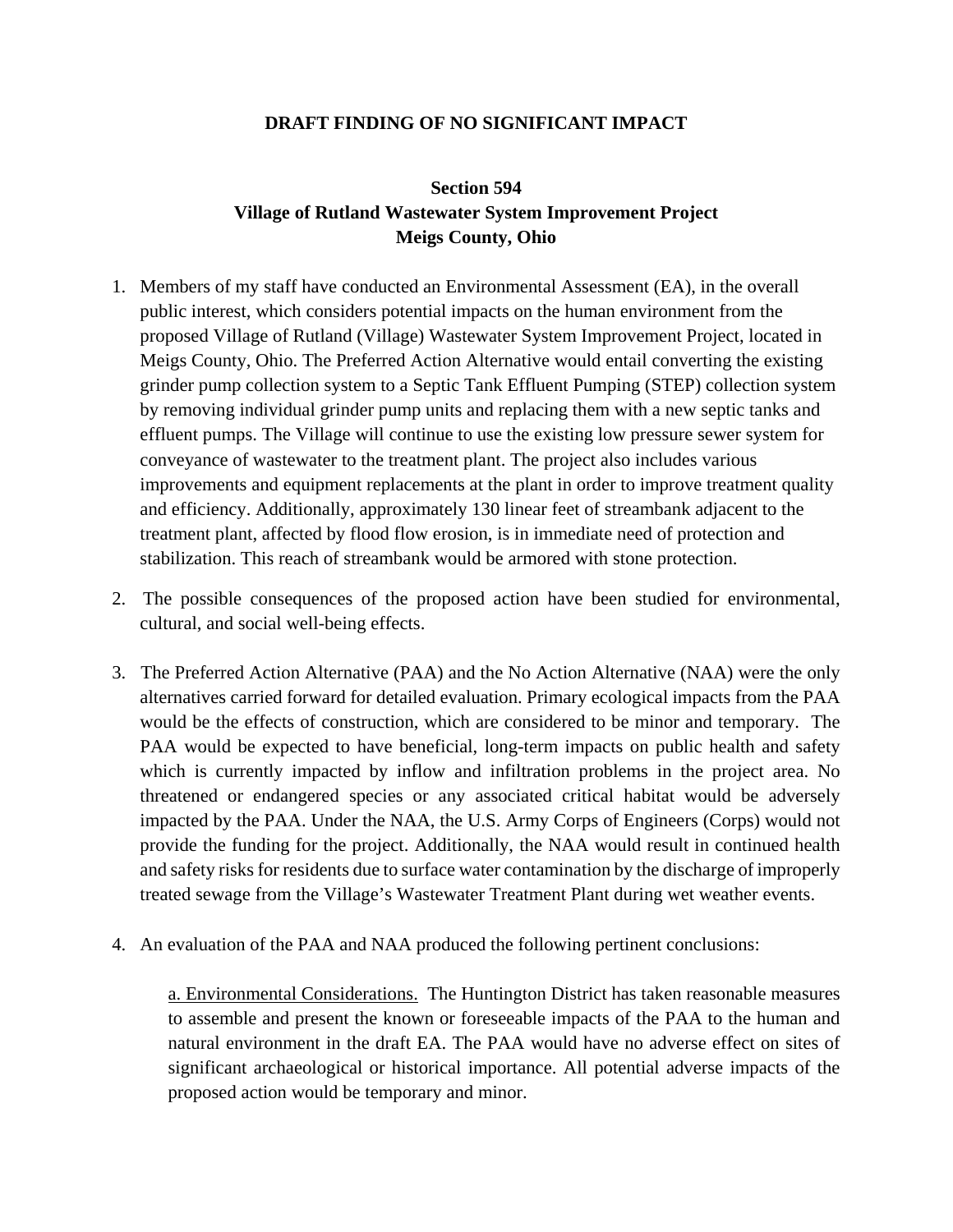## **DRAFT FINDING OF NO SIGNIFICANT IMPACT**

## **Section 594 Village of Rutland Wastewater System Improvement Project Meigs County, Ohio**

- 1. Members of my staff have conducted an Environmental Assessment (EA), in the overall public interest, which considers potential impacts on the human environment from the proposed Village of Rutland (Village) Wastewater System Improvement Project, located in Meigs County, Ohio. The Preferred Action Alternative would entail converting the existing grinder pump collection system to a Septic Tank Effluent Pumping (STEP) collection system by removing individual grinder pump units and replacing them with a new septic tanks and effluent pumps. The Village will continue to use the existing low pressure sewer system for conveyance of wastewater to the treatment plant. The project also includes various improvements and equipment replacements at the plant in order to improve treatment quality and efficiency. Additionally, approximately 130 linear feet of streambank adjacent to the treatment plant, affected by flood flow erosion, is in immediate need of protection and stabilization. This reach of streambank would be armored with stone protection.
- 2. The possible consequences of the proposed action have been studied for environmental, cultural, and social well-being effects.
- 3. The Preferred Action Alternative (PAA) and the No Action Alternative (NAA) were the only alternatives carried forward for detailed evaluation. Primary ecological impacts from the PAA would be the effects of construction, which are considered to be minor and temporary. The PAA would be expected to have beneficial, long-term impacts on public health and safety which is currently impacted by inflow and infiltration problems in the project area. No threatened or endangered species or any associated critical habitat would be adversely impacted by the PAA. Under the NAA, the U.S. Army Corps of Engineers (Corps) would not provide the funding for the project. Additionally, the NAA would result in continued health and safety risks for residents due to surface water contamination by the discharge of improperly treated sewage from the Village's Wastewater Treatment Plant during wet weather events.
- 4. An evaluation of the PAA and NAA produced the following pertinent conclusions:

a. Environmental Considerations. The Huntington District has taken reasonable measures to assemble and present the known or foreseeable impacts of the PAA to the human and natural environment in the draft EA. The PAA would have no adverse effect on sites of significant archaeological or historical importance. All potential adverse impacts of the proposed action would be temporary and minor.